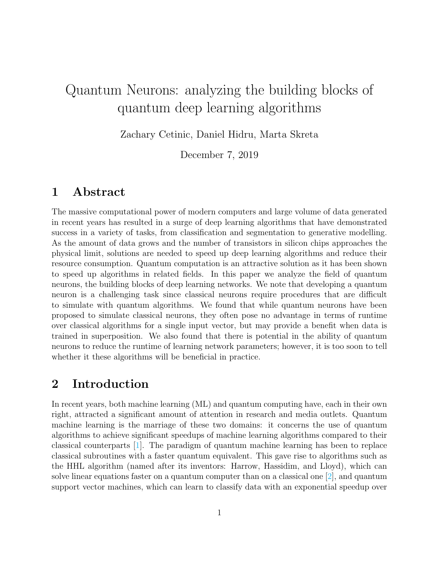# Quantum Neurons: analyzing the building blocks of quantum deep learning algorithms

Zachary Cetinic, Daniel Hidru, Marta Skreta

December 7, 2019

# 1 Abstract

The massive computational power of modern computers and large volume of data generated in recent years has resulted in a surge of deep learning algorithms that have demonstrated success in a variety of tasks, from classification and segmentation to generative modelling. As the amount of data grows and the number of transistors in silicon chips approaches the physical limit, solutions are needed to speed up deep learning algorithms and reduce their resource consumption. Quantum computation is an attractive solution as it has been shown to speed up algorithms in related fields. In this paper we analyze the field of quantum neurons, the building blocks of deep learning networks. We note that developing a quantum neuron is a challenging task since classical neurons require procedures that are difficult to simulate with quantum algorithms. We found that while quantum neurons have been proposed to simulate classical neurons, they often pose no advantage in terms of runtime over classical algorithms for a single input vector, but may provide a benefit when data is trained in superposition. We also found that there is potential in the ability of quantum neurons to reduce the runtime of learning network parameters; however, it is too soon to tell whether it these algorithms will be beneficial in practice.

# 2 Introduction

In recent years, both machine learning (ML) and quantum computing have, each in their own right, attracted a significant amount of attention in research and media outlets. Quantum machine learning is the marriage of these two domains: it concerns the use of quantum algorithms to achieve significant speedups of machine learning algorithms compared to their classical counterparts [\[1\]](#page-10-0). The paradigm of quantum machine learning has been to replace classical subroutines with a faster quantum equivalent. This gave rise to algorithms such as the HHL algorithm (named after its inventors: Harrow, Hassidim, and Lloyd), which can solve linear equations faster on a quantum computer than on a classical one [\[2\]](#page-10-1), and quantum support vector machines, which can learn to classify data with an exponential speedup over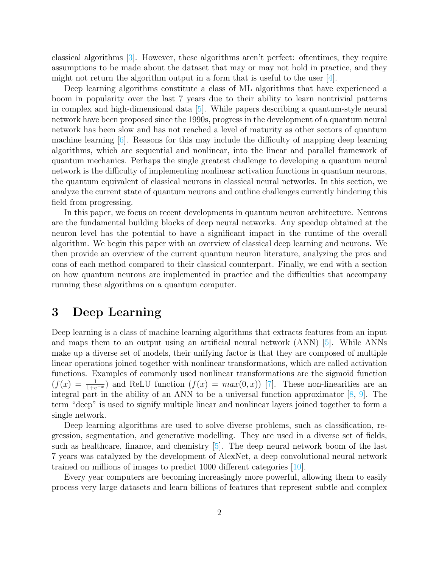classical algorithms [\[3\]](#page-10-2). However, these algorithms aren't perfect: oftentimes, they require assumptions to be made about the dataset that may or may not hold in practice, and they might not return the algorithm output in a form that is useful to the user [\[4\]](#page-10-3).

Deep learning algorithms constitute a class of ML algorithms that have experienced a boom in popularity over the last 7 years due to their ability to learn nontrivial patterns in complex and high-dimensional data [\[5\]](#page-10-4). While papers describing a quantum-style neural network have been proposed since the 1990s, progress in the development of a quantum neural network has been slow and has not reached a level of maturity as other sectors of quantum machine learning [\[6\]](#page-10-5). Reasons for this may include the difficulty of mapping deep learning algorithms, which are sequential and nonlinear, into the linear and parallel framework of quantum mechanics. Perhaps the single greatest challenge to developing a quantum neural network is the difficulty of implementing nonlinear activation functions in quantum neurons, the quantum equivalent of classical neurons in classical neural networks. In this section, we analyze the current state of quantum neurons and outline challenges currently hindering this field from progressing.

In this paper, we focus on recent developments in quantum neuron architecture. Neurons are the fundamental building blocks of deep neural networks. Any speedup obtained at the neuron level has the potential to have a significant impact in the runtime of the overall algorithm. We begin this paper with an overview of classical deep learning and neurons. We then provide an overview of the current quantum neuron literature, analyzing the pros and cons of each method compared to their classical counterpart. Finally, we end with a section on how quantum neurons are implemented in practice and the difficulties that accompany running these algorithms on a quantum computer.

### 3 Deep Learning

Deep learning is a class of machine learning algorithms that extracts features from an input and maps them to an output using an artificial neural network (ANN) [\[5\]](#page-10-4). While ANNs make up a diverse set of models, their unifying factor is that they are composed of multiple linear operations joined together with nonlinear transformations, which are called activation functions. Examples of commonly used nonlinear transformations are the sigmoid function  $(f(x) = \frac{1}{1+e^{-x}})$  and ReLU function  $(f(x) = max(0, x))$  [\[7\]](#page-10-6). These non-linearities are an integral part in the ability of an ANN to be a universal function approximator [\[8,](#page-10-7) [9\]](#page-10-8). The term "deep" is used to signify multiple linear and nonlinear layers joined together to form a single network.

Deep learning algorithms are used to solve diverse problems, such as classification, regression, segmentation, and generative modelling. They are used in a diverse set of fields, such as healthcare, finance, and chemistry  $[5]$ . The deep neural network boom of the last 7 years was catalyzed by the development of AlexNet, a deep convolutional neural network trained on millions of images to predict 1000 different categories [\[10\]](#page-11-0).

Every year computers are becoming increasingly more powerful, allowing them to easily process very large datasets and learn billions of features that represent subtle and complex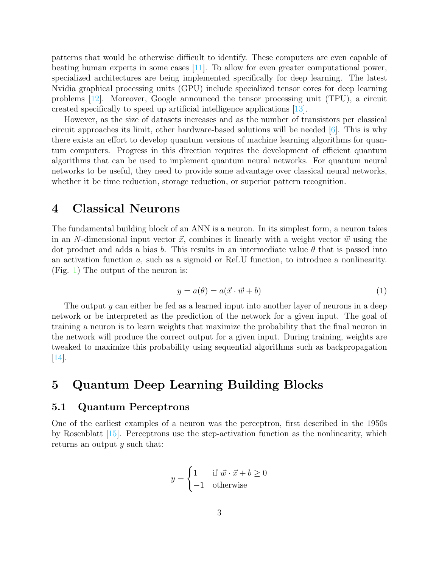patterns that would be otherwise difficult to identify. These computers are even capable of beating human experts in some cases [\[11\]](#page-11-1). To allow for even greater computational power, specialized architectures are being implemented specifically for deep learning. The latest Nvidia graphical processing units (GPU) include specialized tensor cores for deep learning problems [\[12\]](#page-11-2). Moreover, Google announced the tensor processing unit (TPU), a circuit created specifically to speed up artificial intelligence applications [\[13\]](#page-11-3).

However, as the size of datasets increases and as the number of transistors per classical circuit approaches its limit, other hardware-based solutions will be needed  $[6]$ . This is why there exists an effort to develop quantum versions of machine learning algorithms for quantum computers. Progress in this direction requires the development of efficient quantum algorithms that can be used to implement quantum neural networks. For quantum neural networks to be useful, they need to provide some advantage over classical neural networks, whether it be time reduction, storage reduction, or superior pattern recognition.

### 4 Classical Neurons

The fundamental building block of an ANN is a neuron. In its simplest form, a neuron takes in an N-dimensional input vector  $\vec{x}$ , combines it linearly with a weight vector  $\vec{w}$  using the dot product and adds a bias b. This results in an intermediate value  $\theta$  that is passed into an activation function a, such as a sigmoid or ReLU function, to introduce a nonlinearity. (Fig. [1\)](#page-3-0) The output of the neuron is:

$$
y = a(\theta) = a(\vec{x} \cdot \vec{w} + b)
$$
 (1)

The output y can either be fed as a learned input into another layer of neurons in a deep network or be interpreted as the prediction of the network for a given input. The goal of training a neuron is to learn weights that maximize the probability that the final neuron in the network will produce the correct output for a given input. During training, weights are tweaked to maximize this probability using sequential algorithms such as backpropagation [\[14\]](#page-11-4).

# 5 Quantum Deep Learning Building Blocks

#### 5.1 Quantum Perceptrons

One of the earliest examples of a neuron was the perceptron, first described in the 1950s by Rosenblatt [\[15\]](#page-11-5). Perceptrons use the step-activation function as the nonlinearity, which returns an output y such that:

$$
y = \begin{cases} 1 & \text{if } \vec{w} \cdot \vec{x} + b \ge 0 \\ -1 & \text{otherwise} \end{cases}
$$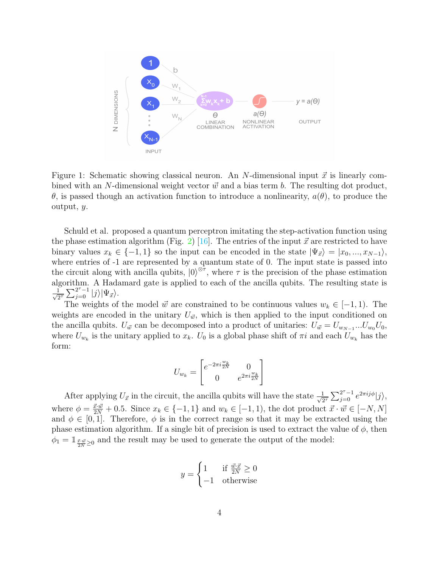

<span id="page-3-0"></span>Figure 1: Schematic showing classical neuron. An N-dimensional input  $\vec{x}$  is linearly combined with an N-dimensional weight vector  $\vec{w}$  and a bias term b. The resulting dot product, θ, is passed though an activation function to introduce a nonlinearity, a(θ), to produce the output, y.

Schuld et al. proposed a quantum perceptron imitating the step-activation function using the phase estimation algorithm (Fig. [2\)](#page-4-0) [\[16\]](#page-11-6). The entries of the input  $\vec{x}$  are restricted to have binary values  $x_k \in \{-1, 1\}$  so the input can be encoded in the state  $|\Psi_{\vec{x}}\rangle = |x_0, ..., x_{N-1}\rangle$ , where entries of -1 are represented by a quantum state of 0. The input state is passed into the circuit along with ancilla qubits,  $|0\rangle^{\otimes \tau}$ , where  $\tau$  is the precision of the phase estimation algorithm. A Hadamard gate is applied to each of the ancilla qubits. The resulting state is  $\frac{1}{6}$  $\frac{1}{2^{\tau}}\sum_{j=0}^{2^{\tau}-1}|j\rangle|\Psi_{\vec{x}}\rangle.$ 

The weights of the model  $\vec{w}$  are constrained to be continuous values  $w_k \in [-1, 1)$ . The weights are encoded in the unitary  $U_{\vec{w}}$ , which is then applied to the input conditioned on the ancilla qubits.  $U_{\vec{w}}$  can be decomposed into a product of unitaries:  $U_{\vec{w}} = U_{w_{N-1}}...U_{w_0}U_0$ , where  $U_{w_k}$  is the unitary applied to  $x_k$ .  $U_0$  is a global phase shift of  $\pi i$  and each  $U_{w_k}$  has the form:

$$
U_{w_k} = \begin{bmatrix} e^{-2\pi i \frac{w_k}{2N}} & 0\\ 0 & e^{2\pi i \frac{w_k}{2N}} \end{bmatrix}
$$

After applying  $U_{\vec{x}}$  in the circuit, the ancilla qubits will have the state  $\frac{1}{\sqrt{2}}$  $\frac{1}{2^{\tau}}\sum_{j=0}^{2^{\tau}-1}e^{2\pi ij\phi}|j\rangle,$ where  $\phi = \frac{\vec{x} \cdot \vec{w}}{2N} + 0.5$ . Since  $x_k \in \{-1, 1\}$  and  $w_k \in [-1, 1)$ , the dot product  $\vec{x} \cdot \vec{w} \in [-N, N]$ and  $\phi \in [0, 1]$ . Therefore,  $\phi$  is in the correct range so that it may be extracted using the phase estimation algorithm. If a single bit of precision is used to extract the value of  $\phi$ , then  $\phi_1 = \mathbb{1}_{\frac{\vec{x} \cdot \vec{w}}{2N} \geq 0}$  and the result may be used to generate the output of the model:

$$
y = \begin{cases} 1 & \text{if } \frac{\vec{w} \cdot \vec{x}}{2N} \ge 0 \\ -1 & \text{otherwise} \end{cases}
$$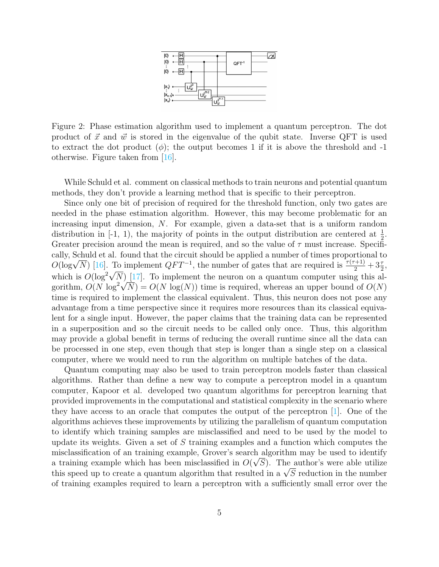

<span id="page-4-0"></span>Figure 2: Phase estimation algorithm used to implement a quantum perceptron. The dot product of  $\vec{x}$  and  $\vec{w}$  is stored in the eigenvalue of the qubit state. Inverse QFT is used to extract the dot product  $(\phi)$ ; the output becomes 1 if it is above the threshold and -1 otherwise. Figure taken from [\[16\]](#page-11-6).

While Schuld et al. comment on classical methods to train neurons and potential quantum methods, they don't provide a learning method that is specific to their perceptron.

Since only one bit of precision of required for the threshold function, only two gates are needed in the phase estimation algorithm. However, this may become problematic for an increasing input dimension, N. For example, given a data-set that is a uniform random distribution in [-1, 1), the majority of points in the output distribution are centered at  $\frac{1}{2}$ . Greater precision around the mean is required, and so the value of  $\tau$  must increase. Specifically, Schuld et al. found that the circuit should be applied a number of times proportional to cally, Schuld et al. found that the circuit should be applied a number of times proportional to  $O(\log \sqrt{N})$  [\[16\]](#page-11-6). To implement  $QFT^{-1}$ , the number of gates that are required is  $\frac{\tau(\tau+1)}{2} + 3\frac{\tau}{2}$ ,  $O(\log V N)$  [10]. To implement  $Q T T$ , the number of gates that are required is  $\frac{Q}{2} + 3\frac{1}{2}$ ,<br>which is  $O(\log^2 \sqrt{N})$  [\[17\]](#page-11-7). To implement the neuron on a quantum computer using this alwhich is  $O(\log N)$  [17]. To implement the neuron on a quantum computer using this algorithm,  $O(N \log^2 \sqrt{N}) = O(N \log(N))$  time is required, whereas an upper bound of  $O(N)$ time is required to implement the classical equivalent. Thus, this neuron does not pose any advantage from a time perspective since it requires more resources than its classical equivalent for a single input. However, the paper claims that the training data can be represented in a superposition and so the circuit needs to be called only once. Thus, this algorithm may provide a global benefit in terms of reducing the overall runtime since all the data can be processed in one step, even though that step is longer than a single step on a classical computer, where we would need to run the algorithm on multiple batches of the data.

Quantum computing may also be used to train perceptron models faster than classical algorithms. Rather than define a new way to compute a perceptron model in a quantum computer, Kapoor et al. developed two quantum algorithms for perceptron learning that provided improvements in the computational and statistical complexity in the scenario where they have access to an oracle that computes the output of the perceptron [\[1\]](#page-10-0). One of the algorithms achieves these improvements by utilizing the parallelism of quantum computation to identify which training samples are misclassified and need to be used by the model to update its weights. Given a set of S training examples and a function which computes the misclassification of an training example, Grover's search algorithm may be used to identify a training example which has been misclassified in  $O(\sqrt{S})$ . The author's were able utilize a training example which has been misclassified in  $U(VS)$ . The author's were able utilize<br>this speed up to create a quantum algorithm that resulted in a  $\sqrt{S}$  reduction in the number of training examples required to learn a perceptron with a sufficiently small error over the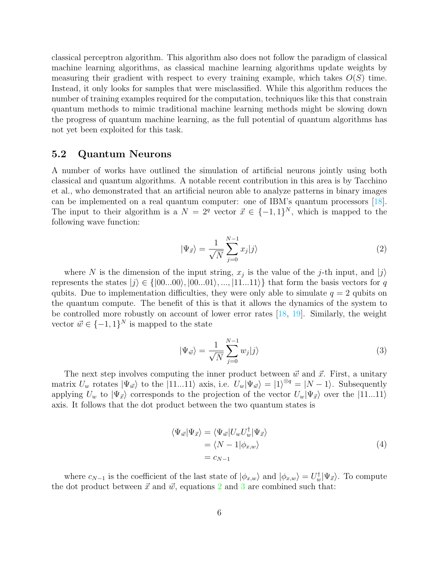classical perceptron algorithm. This algorithm also does not follow the paradigm of classical machine learning algorithms, as classical machine learning algorithms update weights by measuring their gradient with respect to every training example, which takes  $O(S)$  time. Instead, it only looks for samples that were misclassified. While this algorithm reduces the number of training examples required for the computation, techniques like this that constrain quantum methods to mimic traditional machine learning methods might be slowing down the progress of quantum machine learning, as the full potential of quantum algorithms has not yet been exploited for this task.

#### 5.2 Quantum Neurons

A number of works have outlined the simulation of artificial neurons jointly using both classical and quantum algorithms. A notable recent contribution in this area is by Tacchino et al., who demonstrated that an artificial neuron able to analyze patterns in binary images can be implemented on a real quantum computer: one of IBM's quantum processors [\[18\]](#page-11-8). The input to their algorithm is a  $N = 2<sup>q</sup>$  vector  $\vec{x} \in \{-1,1\}^N$ , which is mapped to the following wave function:

<span id="page-5-0"></span>
$$
|\Psi_{\vec{x}}\rangle = \frac{1}{\sqrt{N}} \sum_{j=0}^{N-1} x_j |j\rangle \tag{2}
$$

where N is the dimension of the input string,  $x_j$  is the value of the j-th input, and  $|j\rangle$ represents the states  $|j\rangle \in \{ |00...00\rangle, |00...01\rangle, ..., |11...11\rangle \}$  that form the basis vectors for q qubits. Due to implementation difficulties, they were only able to simulate  $q = 2$  qubits on the quantum compute. The benefit of this is that it allows the dynamics of the system to be controlled more robustly on account of lower error rates [\[18,](#page-11-8) [19\]](#page-11-9). Similarly, the weight vector  $\vec{w} \in \{-1, 1\}^N$  is mapped to the state

<span id="page-5-1"></span>
$$
|\Psi_{\vec{w}}\rangle = \frac{1}{\sqrt{N}} \sum_{j=0}^{N-1} w_j |j\rangle \tag{3}
$$

The next step involves computing the inner product between  $\vec{w}$  and  $\vec{x}$ . First, a unitary matrix  $U_w$  rotates  $|\Psi_{\vec{w}}\rangle$  to the  $|11...11\rangle$  axis, i.e.  $U_w|\Psi_{\vec{w}}\rangle = |1\rangle^{\otimes q} = |N-1\rangle$ . Subsequently applying  $U_w$  to  $|\Psi_{\vec{x}}\rangle$  corresponds to the projection of the vector  $U_w|\Psi_{\vec{x}}\rangle$  over the  $|11...11\rangle$ axis. It follows that the dot product between the two quantum states is

$$
\langle \Psi_{\vec{w}} | \Psi_{\vec{x}} \rangle = \langle \Psi_{\vec{w}} | U_w U_w^{\dagger} | \Psi_{\vec{x}} \rangle \n= \langle N - 1 | \phi_{x,w} \rangle \n= c_{N-1}
$$
\n(4)

where  $c_{N-1}$  is the coefficient of the last state of  $|\phi_{x,w}\rangle$  and  $|\phi_{x,w}\rangle = U_w^{\dagger}|\Psi_{\vec{x}}\rangle$ . To compute the dot product between  $\vec{x}$  and  $\vec{w}$ , equations [2](#page-5-0) and [3](#page-5-1) are combined such that: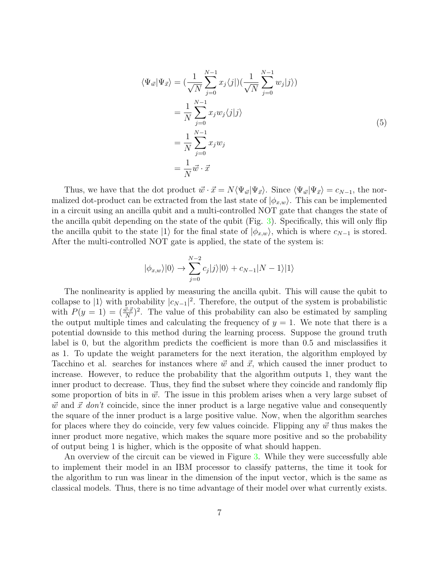$$
\langle \Psi_{\vec{w}} | \Psi_{\vec{x}} \rangle = \left( \frac{1}{\sqrt{N}} \sum_{j=0}^{N-1} x_j \langle j | \right) \left( \frac{1}{\sqrt{N}} \sum_{j=0}^{N-1} w_j | j \rangle \right)
$$
  

$$
= \frac{1}{N} \sum_{j=0}^{N-1} x_j w_j \langle j | j \rangle
$$
  

$$
= \frac{1}{N} \sum_{j=0}^{N-1} x_j w_j
$$
  

$$
= \frac{1}{N} \vec{w} \cdot \vec{x}
$$
 (5)

Thus, we have that the dot product  $\vec{w} \cdot \vec{x} = N \langle \Psi_{\vec{w}} | \Psi_{\vec{x}} \rangle$ . Since  $\langle \Psi_{\vec{w}} | \Psi_{\vec{x}} \rangle = c_{N-1}$ , the normalized dot-product can be extracted from the last state of  $|\phi_{x,w}\rangle$ . This can be implemented in a circuit using an ancilla qubit and a multi-controlled NOT gate that changes the state of the ancilla qubit depending on the state of the qubit (Fig. [3\)](#page-7-0). Specifically, this will only flip the ancilla qubit to the state  $|1\rangle$  for the final state of  $|\phi_{x,w}\rangle$ , which is where  $c_{N-1}$  is stored. After the multi-controlled NOT gate is applied, the state of the system is:

$$
|\phi_{x,w}\rangle|0\rangle \rightarrow \sum_{j=0}^{N-2} c_j |j\rangle|0\rangle + c_{N-1}|N-1\rangle|1\rangle
$$

The nonlinearity is applied by measuring the ancilla qubit. This will cause the qubit to collapse to  $|1\rangle$  with probability  $|c_{N-1}|^2$ . Therefore, the output of the system is probabilistic with  $P(y = 1) = \left(\frac{\vec{w} \cdot \vec{x}}{N}\right)^2$ . The value of this probability can also be estimated by sampling the output multiple times and calculating the frequency of  $y = 1$ . We note that there is a potential downside to this method during the learning process. Suppose the ground truth label is 0, but the algorithm predicts the coefficient is more than 0.5 and misclassifies it as 1. To update the weight parameters for the next iteration, the algorithm employed by Tacchino et al. searches for instances where  $\vec{w}$  and  $\vec{x}$ , which caused the inner product to increase. However, to reduce the probability that the algorithm outputs 1, they want the inner product to decrease. Thus, they find the subset where they coincide and randomly flip some proportion of bits in  $\vec{w}$ . The issue in this problem arises when a very large subset of  $\vec{w}$  and  $\vec{x}$  don't coincide, since the inner product is a large negative value and consequently the square of the inner product is a large positive value. Now, when the algorithm searches for places where they do coincide, very few values coincide. Flipping any  $\vec{w}$  thus makes the inner product more negative, which makes the square more positive and so the probability of output being 1 is higher, which is the opposite of what should happen.

An overview of the circuit can be viewed in Figure [3.](#page-7-0) While they were successfully able to implement their model in an IBM processor to classify patterns, the time it took for the algorithm to run was linear in the dimension of the input vector, which is the same as classical models. Thus, there is no time advantage of their model over what currently exists.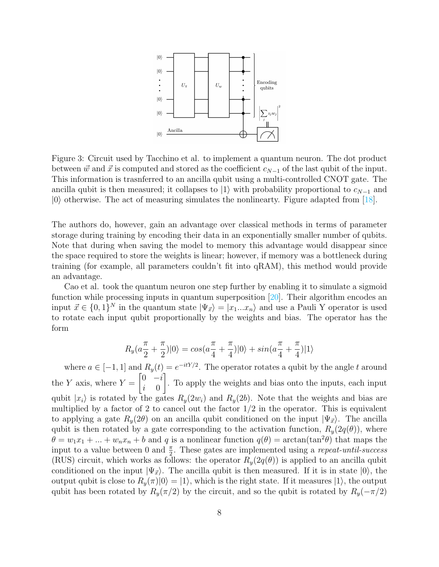

<span id="page-7-0"></span>Figure 3: Circuit used by Tacchino et al. to implement a quantum neuron. The dot product between  $\vec{w}$  and  $\vec{x}$  is computed and stored as the coefficient  $c_{N-1}$  of the last qubit of the input. This information is trasnferred to an ancilla qubit using a multi-controlled CNOT gate. The ancilla qubit is then measured; it collapses to  $|1\rangle$  with probability proportional to  $c_{N-1}$  and  $|0\rangle$  otherwise. The act of measuring simulates the nonlinearty. Figure adapted from [\[18\]](#page-11-8).

The authors do, however, gain an advantage over classical methods in terms of parameter storage during training by encoding their data in an exponentially smaller number of qubits. Note that during when saving the model to memory this advantage would disappear since the space required to store the weights is linear; however, if memory was a bottleneck during training (for example, all parameters couldn't fit into qRAM), this method would provide an advantage.

Cao et al. took the quantum neuron one step further by enabling it to simulate a sigmoid function while processing inputs in quantum superposition [\[20\]](#page-11-10). Their algorithm encodes an input  $\vec{x} \in \{0,1\}^N$  in the quantum state  $|\Psi_{\vec{x}}\rangle = |x_1...x_n\rangle$  and use a Pauli Y operator is used to rotate each input qubit proportionally by the weights and bias. The operator has the form

$$
R_y(a\frac{\pi}{2} + \frac{\pi}{2})|0\rangle = \cos(a\frac{\pi}{4} + \frac{\pi}{4})|0\rangle + \sin(a\frac{\pi}{4} + \frac{\pi}{4})|1\rangle
$$

where  $a \in [-1,1]$  and  $R_y(t) = e^{-itY/2}$ . The operator rotates a qubit by the angle t around the Y axis, where  $Y =$  $\begin{bmatrix} 0 & -i \end{bmatrix}$ i 0 1 . To apply the weights and bias onto the inputs, each input qubit  $|x_i\rangle$  is rotated by the gates  $R_y(2w_i)$  and  $R_y(2b)$ . Note that the weights and bias are multiplied by a factor of 2 to cancel out the factor  $1/2$  in the operator. This is equivalent to applying a gate  $R_y(2\theta)$  on an ancilla qubit conditioned on the input  $|\Psi_{\vec{x}}\rangle$ . The ancilla qubit is then rotated by a gate corresponding to the activation function,  $R_y(2q(\theta))$ , where  $\theta = w_1 x_1 + ... + w_n x_n + b$  and q is a nonlinear function  $q(\theta) = \arctan(\tan^2 \theta)$  that maps the input to a value between 0 and  $\frac{\pi}{2}$ . These gates are implemented using a *repeat-until-success* (RUS) circuit, which works as follows: the operator  $R_y(2q(\theta))$  is applied to an ancilla qubit conditioned on the input  $|\Psi_{\vec{x}}\rangle$ . The ancilla qubit is then measured. If it is in state  $|0\rangle$ , the output qubit is close to  $R_y(\pi)|0\rangle = |1\rangle$ , which is the right state. If it measures  $|1\rangle$ , the output qubit has been rotated by  $R_y(\pi/2)$  by the circuit, and so the qubit is rotated by  $R_y(-\pi/2)$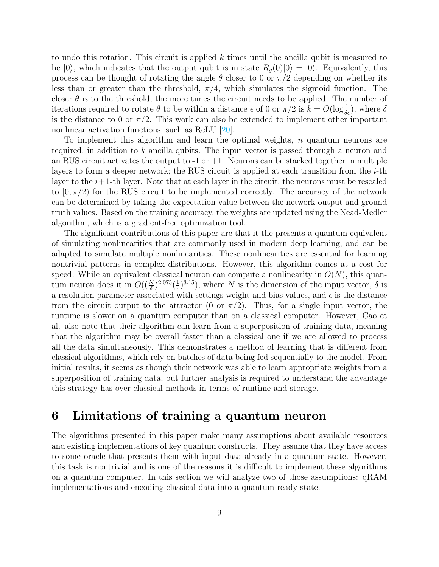to undo this rotation. This circuit is applied  $k$  times until the ancilla qubit is measured to be  $|0\rangle$ , which indicates that the output qubit is in state  $R_y(0)|0\rangle = |0\rangle$ . Equivalently, this process can be thought of rotating the angle  $\theta$  closer to 0 or  $\pi/2$  depending on whether its less than or greater than the threshold,  $\pi/4$ , which simulates the sigmoid function. The closer  $\theta$  is to the threshold, the more times the circuit needs to be applied. The number of iterations required to rotate  $\theta$  to be within a distance  $\epsilon$  of 0 or  $\pi/2$  is  $k = O(\log_{\delta\epsilon}^{-1})$ , where  $\delta$ is the distance to 0 or  $\pi/2$ . This work can also be extended to implement other important nonlinear activation functions, such as ReLU [\[20\]](#page-11-10).

To implement this algorithm and learn the optimal weights,  $n$  quantum neurons are required, in addition to k ancilla qubits. The input vector is passed thorugh a neuron and an RUS circuit activates the output to  $-1$  or  $+1$ . Neurons can be stacked together in multiple layers to form a deeper network; the RUS circuit is applied at each transition from the  $i$ -th layer to the  $i+1$ -th layer. Note that at each layer in the circuit, the neurons must be rescaled to  $[0, \pi/2)$  for the RUS circuit to be implemented correctly. The accuracy of the network can be determined by taking the expectation value between the network output and ground truth values. Based on the training accuracy, the weights are updated using the Nead-Medler algorithm, which is a gradient-free optimization tool.

The significant contributions of this paper are that it the presents a quantum equivalent of simulating nonlinearities that are commonly used in modern deep learning, and can be adapted to simulate multiple nonlinearities. These nonlinearities are essential for learning nontrivial patterns in complex distributions. However, this algorithm comes at a cost for speed. While an equivalent classical neuron can compute a nonlinearity in  $O(N)$ , this quantum neuron does it in  $O((\frac{N}{\delta})^{2.075}(\frac{1}{\epsilon})$  $(\frac{1}{\epsilon})^{3.15}$ , where N is the dimension of the input vector,  $\delta$  is a resolution parameter associated with settings weight and bias values, and  $\epsilon$  is the distance from the circuit output to the attractor (0 or  $\pi/2$ ). Thus, for a single input vector, the runtime is slower on a quantum computer than on a classical computer. However, Cao et al. also note that their algorithm can learn from a superposition of training data, meaning that the algorithm may be overall faster than a classical one if we are allowed to process all the data simultaneously. This demonstrates a method of learning that is different from classical algorithms, which rely on batches of data being fed sequentially to the model. From initial results, it seems as though their network was able to learn appropriate weights from a superposition of training data, but further analysis is required to understand the advantage this strategy has over classical methods in terms of runtime and storage.

## 6 Limitations of training a quantum neuron

The algorithms presented in this paper make many assumptions about available resources and existing implementations of key quantum constructs. They assume that they have access to some oracle that presents them with input data already in a quantum state. However, this task is nontrivial and is one of the reasons it is difficult to implement these algorithms on a quantum computer. In this section we will analyze two of those assumptions: qRAM implementations and encoding classical data into a quantum ready state.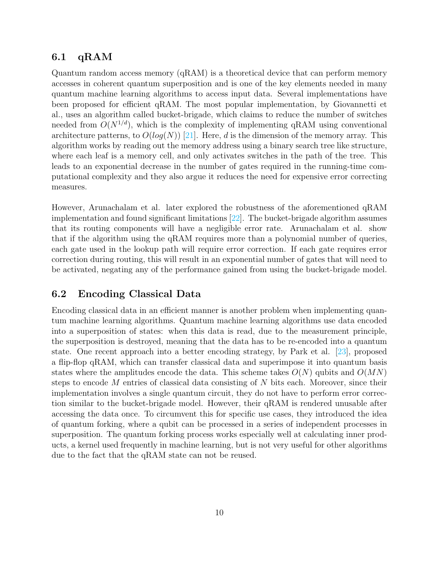#### 6.1  $qRAM$

Quantum random access memory (qRAM) is a theoretical device that can perform memory accesses in coherent quantum superposition and is one of the key elements needed in many quantum machine learning algorithms to access input data. Several implementations have been proposed for efficient qRAM. The most popular implementation, by Giovannetti et al., uses an algorithm called bucket-brigade, which claims to reduce the number of switches needed from  $O(N^{1/d})$ , which is the complexity of implementing qRAM using conventional architecture patterns, to  $O(log(N))$  [\[21\]](#page-11-11). Here, d is the dimension of the memory array. This algorithm works by reading out the memory address using a binary search tree like structure, where each leaf is a memory cell, and only activates switches in the path of the tree. This leads to an exponential decrease in the number of gates required in the running-time computational complexity and they also argue it reduces the need for expensive error correcting measures.

However, Arunachalam et al. later explored the robustness of the aforementioned qRAM implementation and found significant limitations [\[22\]](#page-11-12). The bucket-brigade algorithm assumes that its routing components will have a negligible error rate. Arunachalam et al. show that if the algorithm using the qRAM requires more than a polynomial number of queries, each gate used in the lookup path will require error correction. If each gate requires error correction during routing, this will result in an exponential number of gates that will need to be activated, negating any of the performance gained from using the bucket-brigade model.

#### 6.2 Encoding Classical Data

Encoding classical data in an efficient manner is another problem when implementing quantum machine learning algorithms. Quantum machine learning algorithms use data encoded into a superposition of states: when this data is read, due to the measurement principle, the superposition is destroyed, meaning that the data has to be re-encoded into a quantum state. One recent approach into a better encoding strategy, by Park et al. [\[23\]](#page-11-13), proposed a flip-flop qRAM, which can transfer classical data and superimpose it into quantum basis states where the amplitudes encode the data. This scheme takes  $O(N)$  qubits and  $O(MN)$ steps to encode M entries of classical data consisting of N bits each. Moreover, since their implementation involves a single quantum circuit, they do not have to perform error correction similar to the bucket-brigade model. However, their qRAM is rendered unusable after accessing the data once. To circumvent this for specific use cases, they introduced the idea of quantum forking, where a qubit can be processed in a series of independent processes in superposition. The quantum forking process works especially well at calculating inner products, a kernel used frequently in machine learning, but is not very useful for other algorithms due to the fact that the qRAM state can not be reused.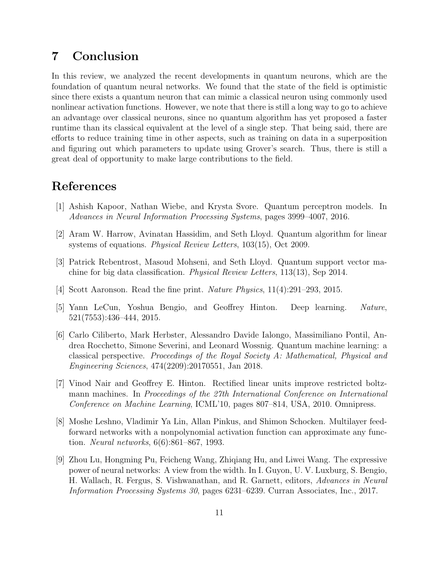# 7 Conclusion

In this review, we analyzed the recent developments in quantum neurons, which are the foundation of quantum neural networks. We found that the state of the field is optimistic since there exists a quantum neuron that can mimic a classical neuron using commonly used nonlinear activation functions. However, we note that there is still a long way to go to achieve an advantage over classical neurons, since no quantum algorithm has yet proposed a faster runtime than its classical equivalent at the level of a single step. That being said, there are efforts to reduce training time in other aspects, such as training on data in a superposition and figuring out which parameters to update using Grover's search. Thus, there is still a great deal of opportunity to make large contributions to the field.

# References

- <span id="page-10-0"></span>[1] Ashish Kapoor, Nathan Wiebe, and Krysta Svore. Quantum perceptron models. In Advances in Neural Information Processing Systems, pages 3999–4007, 2016.
- <span id="page-10-1"></span>[2] Aram W. Harrow, Avinatan Hassidim, and Seth Lloyd. Quantum algorithm for linear systems of equations. *Physical Review Letters*, 103(15), Oct 2009.
- <span id="page-10-2"></span>[3] Patrick Rebentrost, Masoud Mohseni, and Seth Lloyd. Quantum support vector machine for big data classification. Physical Review Letters, 113(13), Sep 2014.
- <span id="page-10-3"></span>[4] Scott Aaronson. Read the fine print. Nature Physics, 11(4):291–293, 2015.
- <span id="page-10-4"></span>[5] Yann LeCun, Yoshua Bengio, and Geoffrey Hinton. Deep learning. Nature, 521(7553):436–444, 2015.
- <span id="page-10-5"></span>[6] Carlo Ciliberto, Mark Herbster, Alessandro Davide Ialongo, Massimiliano Pontil, Andrea Rocchetto, Simone Severini, and Leonard Wossnig. Quantum machine learning: a classical perspective. Proceedings of the Royal Society A: Mathematical, Physical and Engineering Sciences, 474(2209):20170551, Jan 2018.
- <span id="page-10-6"></span>[7] Vinod Nair and Geoffrey E. Hinton. Rectified linear units improve restricted boltzmann machines. In Proceedings of the 27th International Conference on International Conference on Machine Learning, ICML'10, pages 807–814, USA, 2010. Omnipress.
- <span id="page-10-7"></span>[8] Moshe Leshno, Vladimir Ya Lin, Allan Pinkus, and Shimon Schocken. Multilayer feedforward networks with a nonpolynomial activation function can approximate any function. Neural networks, 6(6):861–867, 1993.
- <span id="page-10-8"></span>[9] Zhou Lu, Hongming Pu, Feicheng Wang, Zhiqiang Hu, and Liwei Wang. The expressive power of neural networks: A view from the width. In I. Guyon, U. V. Luxburg, S. Bengio, H. Wallach, R. Fergus, S. Vishwanathan, and R. Garnett, editors, Advances in Neural Information Processing Systems 30, pages 6231–6239. Curran Associates, Inc., 2017.